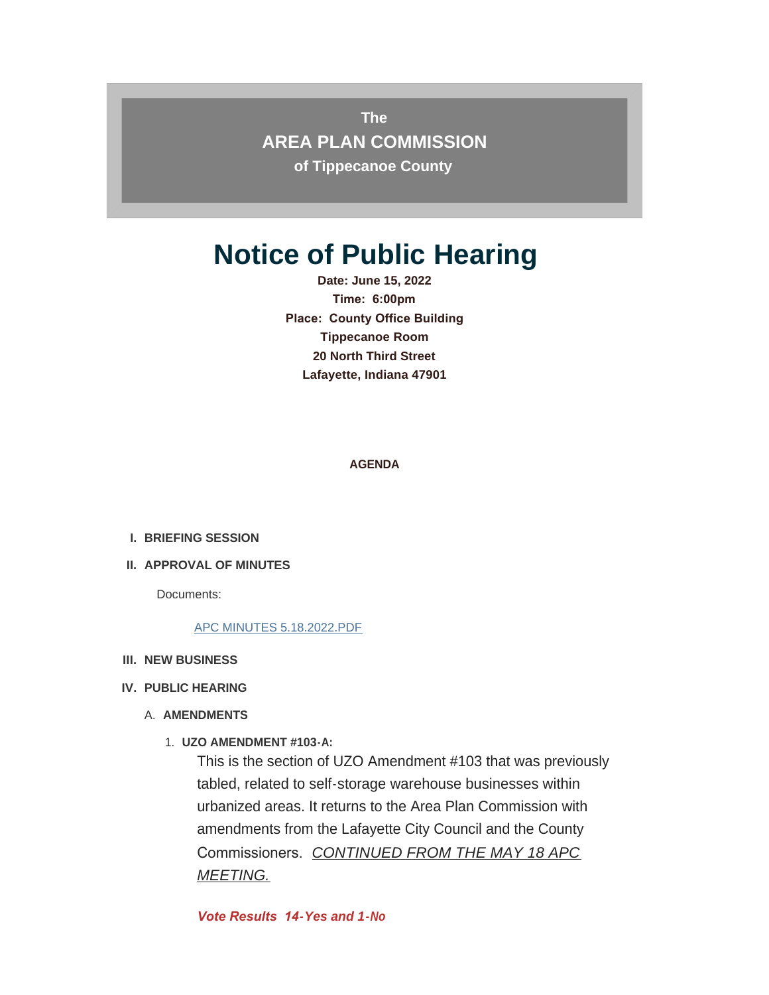**The AREA PLAN COMMISSION of Tippecanoe County**

# **Notice of Public Hearing**

**Date: June 15, 2022 Time: 6:00pm Place: County Office Building Tippecanoe Room 20 North Third Street Lafayette, Indiana 47901**

**AGENDA**

- **BRIEFING SESSION I.**
- **APPROVAL OF MINUTES II.**

Documents:

#### [APC MINUTES 5.18.2022.PDF](http://www.tippecanoe.in.gov/AgendaCenter/ViewFile/Item/12787?fileID=25610)

**NEW BUSINESS III.**

#### **PUBLIC HEARING IV.**

- A. AMENDMENTS
	- **UZO AMENDMENT #103-A:** 1.

This is the section of UZO Amendment #103 that was previously tabled, related to self-storage warehouse businesses within urbanized areas. It returns to the Area Plan Commission with amendments from the Lafayette City Council and the County Commissioners. *CONTINUED FROM THE MAY 18 APC MEETING.*

*Vote Results 14-Yes and 1-No*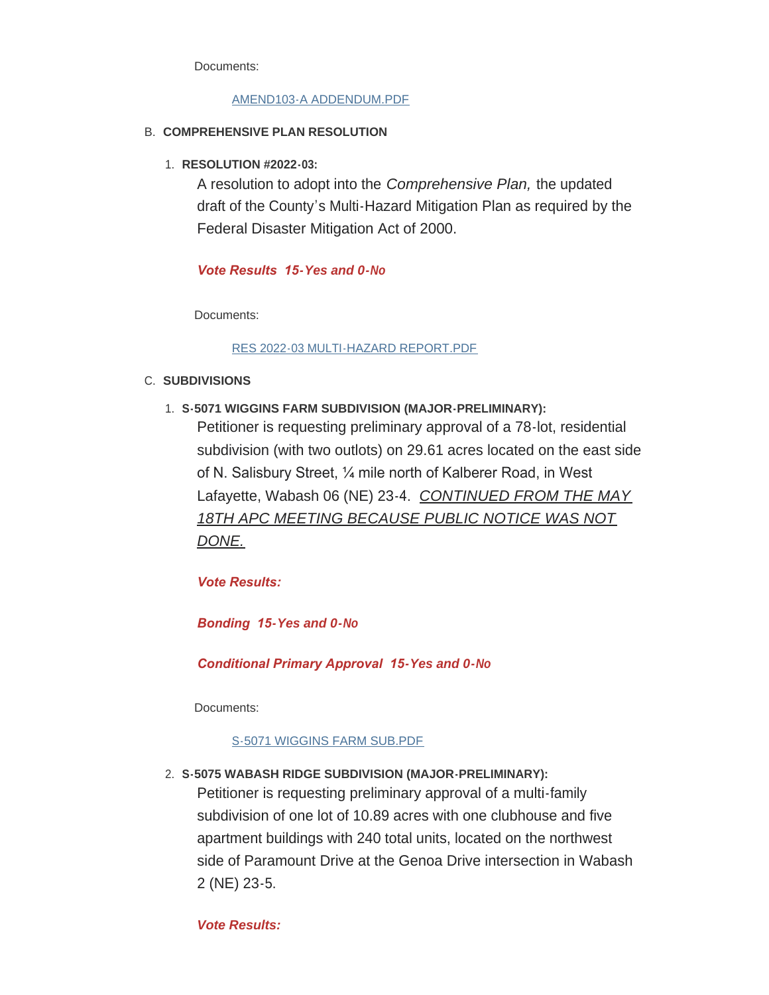Documents:

# [AMEND103-A ADDENDUM.PDF](http://www.tippecanoe.in.gov/AgendaCenter/ViewFile/Item/12779?fileID=25602)

# **COMPREHENSIVE PLAN RESOLUTION** B.

**RESOLUTION #2022-03:** 1.

A resolution to adopt into the *Comprehensive Plan,* the updated draft of the County's Multi-Hazard Mitigation Plan as required by the Federal Disaster Mitigation Act of 2000.

# *Vote Results 15-Yes and 0-No*

Documents:

# [RES 2022-03 MULTI-HAZARD REPORT.PDF](http://www.tippecanoe.in.gov/AgendaCenter/ViewFile/Item/12780?fileID=25603)

# C. SUBDIVISIONS

**S-5071 WIGGINS FARM SUBDIVISION (MAJOR-PRELIMINARY):** 1.

Petitioner is requesting preliminary approval of a 78-lot, residential subdivision (with two outlots) on 29.61 acres located on the east side of N. Salisbury Street, ¼ mile north of Kalberer Road, in West Lafayette, Wabash 06 (NE) 23-4. *CONTINUED FROM THE MAY 18TH APC MEETING BECAUSE PUBLIC NOTICE WAS NOT DONE.*

*Vote Results:* 

*Bonding 15-Yes and 0-No*

*Conditional Primary Approval 15-Yes and 0-No*

Documents:

# [S-5071 WIGGINS FARM SUB.PDF](http://www.tippecanoe.in.gov/AgendaCenter/ViewFile/Item/12781?fileID=25604)

**S-5075 WABASH RIDGE SUBDIVISION (MAJOR-PRELIMINARY):** 2.

Petitioner is requesting preliminary approval of a multi-family subdivision of one lot of 10.89 acres with one clubhouse and five apartment buildings with 240 total units, located on the northwest side of Paramount Drive at the Genoa Drive intersection in Wabash 2 (NE) 23-5.

*Vote Results:*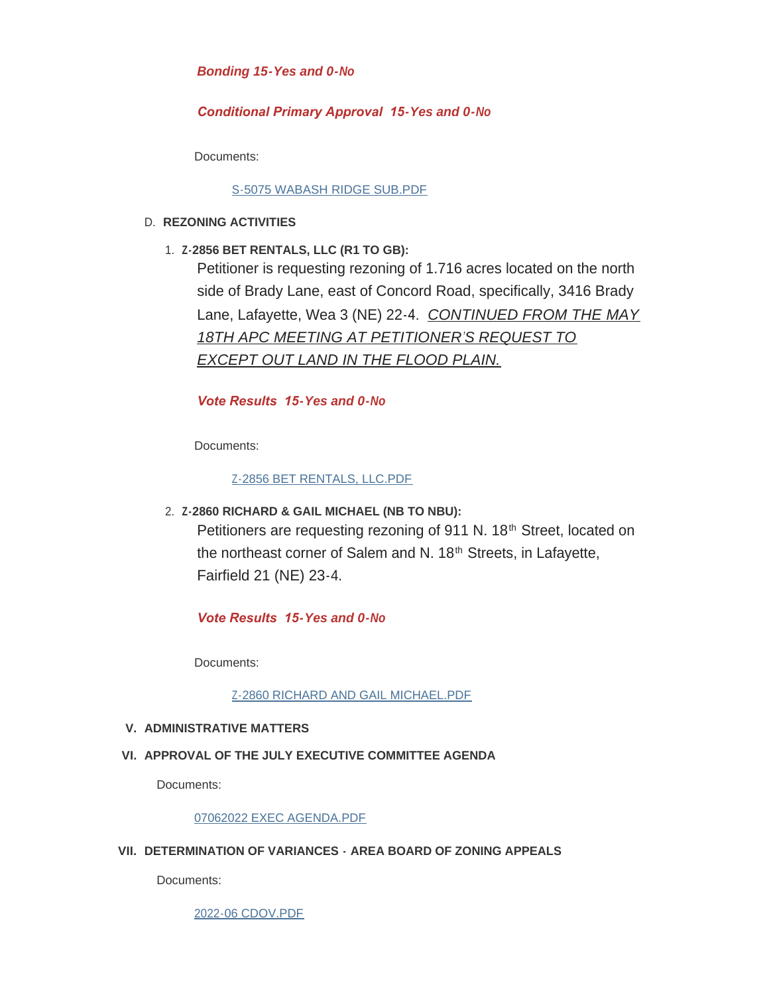# *Bonding 15-Yes and 0-No*

# *Conditional Primary Approval 15-Yes and 0-No*

Documents:

## [S-5075 WABASH RIDGE SUB.PDF](http://www.tippecanoe.in.gov/AgendaCenter/ViewFile/Item/12782?fileID=25605)

#### **REZONING ACTIVITIES** D.

**Z-2856 BET RENTALS, LLC (R1 TO GB):** 1.

Petitioner is requesting rezoning of 1.716 acres located on the north side of Brady Lane, east of Concord Road, specifically, 3416 Brady Lane, Lafayette, Wea 3 (NE) 22-4. *CONTINUED FROM THE MAY 18TH APC MEETING AT PETITIONER'S REQUEST TO EXCEPT OUT LAND IN THE FLOOD PLAIN.*

# *Vote Results 15-Yes and 0-No*

Documents:

# [Z-2856 BET RENTALS, LLC.PDF](http://www.tippecanoe.in.gov/AgendaCenter/ViewFile/Item/12783?fileID=25606)

**Z-2860 RICHARD & GAIL MICHAEL (NB TO NBU):** 2. Petitioners are requesting rezoning of 911 N. 18<sup>th</sup> Street, located on the northeast corner of Salem and N. 18<sup>th</sup> Streets, in Lafayette, Fairfield 21 (NE) 23-4.

# *Vote Results 15-Yes and 0-No*

Documents:

#### [Z-2860 RICHARD AND GAIL MICHAEL.PDF](http://www.tippecanoe.in.gov/AgendaCenter/ViewFile/Item/12784?fileID=25607)

## **ADMINISTRATIVE MATTERS V.**

# **APPROVAL OF THE JULY EXECUTIVE COMMITTEE AGENDA VI.**

Documents:

#### [07062022 EXEC AGENDA.PDF](http://www.tippecanoe.in.gov/AgendaCenter/ViewFile/Item/12785?fileID=25608)

#### **DETERMINATION OF VARIANCES - AREA BOARD OF ZONING APPEALS VII.**

Documents:

[2022-06 CDOV.PDF](http://www.tippecanoe.in.gov/AgendaCenter/ViewFile/Item/12786?fileID=25609)